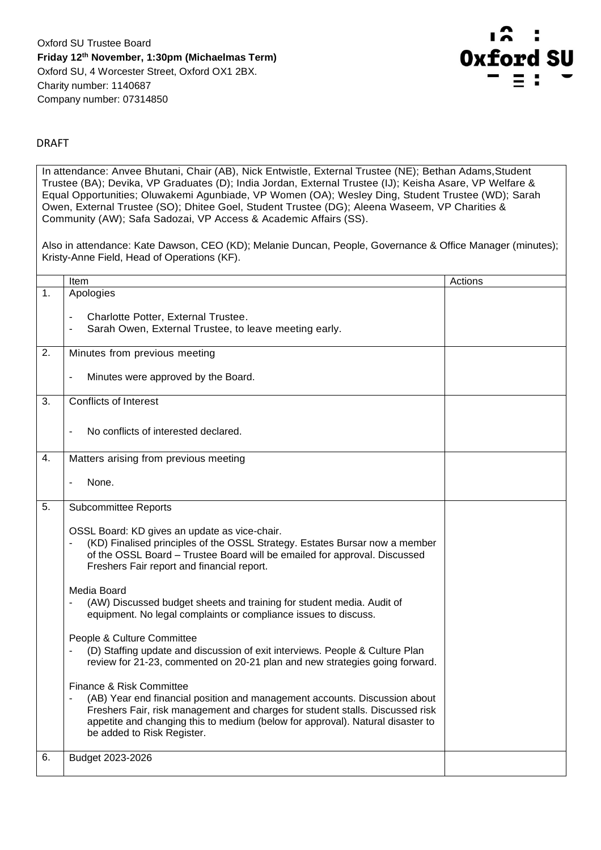

## DRAFT

In attendance: Anvee Bhutani, Chair (AB), Nick Entwistle, External Trustee (NE); Bethan Adams, Student Trustee (BA); Devika, VP Graduates (D); India Jordan, External Trustee (IJ); Keisha Asare, VP Welfare & Equal Opportunities; Oluwakemi Agunbiade, VP Women (OA); Wesley Ding, Student Trustee (WD); Sarah Owen, External Trustee (SO); Dhitee Goel, Student Trustee (DG); Aleena Waseem, VP Charities & Community (AW); Safa Sadozai, VP Access & Academic Affairs (SS).

Also in attendance: Kate Dawson, CEO (KD); Melanie Duncan, People, Governance & Office Manager (minutes); Kristy-Anne Field, Head of Operations (KF).

|    | Item                                                                                                                                                                                                                                                                                                    | Actions |
|----|---------------------------------------------------------------------------------------------------------------------------------------------------------------------------------------------------------------------------------------------------------------------------------------------------------|---------|
| 1. | Apologies                                                                                                                                                                                                                                                                                               |         |
|    | Charlotte Potter, External Trustee.<br>Sarah Owen, External Trustee, to leave meeting early.                                                                                                                                                                                                            |         |
| 2. | Minutes from previous meeting                                                                                                                                                                                                                                                                           |         |
|    | Minutes were approved by the Board.                                                                                                                                                                                                                                                                     |         |
| 3. | <b>Conflicts of Interest</b>                                                                                                                                                                                                                                                                            |         |
|    | No conflicts of interested declared.                                                                                                                                                                                                                                                                    |         |
| 4. | Matters arising from previous meeting                                                                                                                                                                                                                                                                   |         |
|    | None.                                                                                                                                                                                                                                                                                                   |         |
| 5. | <b>Subcommittee Reports</b>                                                                                                                                                                                                                                                                             |         |
|    | OSSL Board: KD gives an update as vice-chair.<br>(KD) Finalised principles of the OSSL Strategy. Estates Bursar now a member<br>of the OSSL Board - Trustee Board will be emailed for approval. Discussed<br>Freshers Fair report and financial report.                                                 |         |
|    | Media Board<br>(AW) Discussed budget sheets and training for student media. Audit of<br>equipment. No legal complaints or compliance issues to discuss.                                                                                                                                                 |         |
|    | People & Culture Committee<br>(D) Staffing update and discussion of exit interviews. People & Culture Plan<br>review for 21-23, commented on 20-21 plan and new strategies going forward.                                                                                                               |         |
|    | Finance & Risk Committee<br>(AB) Year end financial position and management accounts. Discussion about<br>Freshers Fair, risk management and charges for student stalls. Discussed risk<br>appetite and changing this to medium (below for approval). Natural disaster to<br>be added to Risk Register. |         |
| 6. | Budget 2023-2026                                                                                                                                                                                                                                                                                        |         |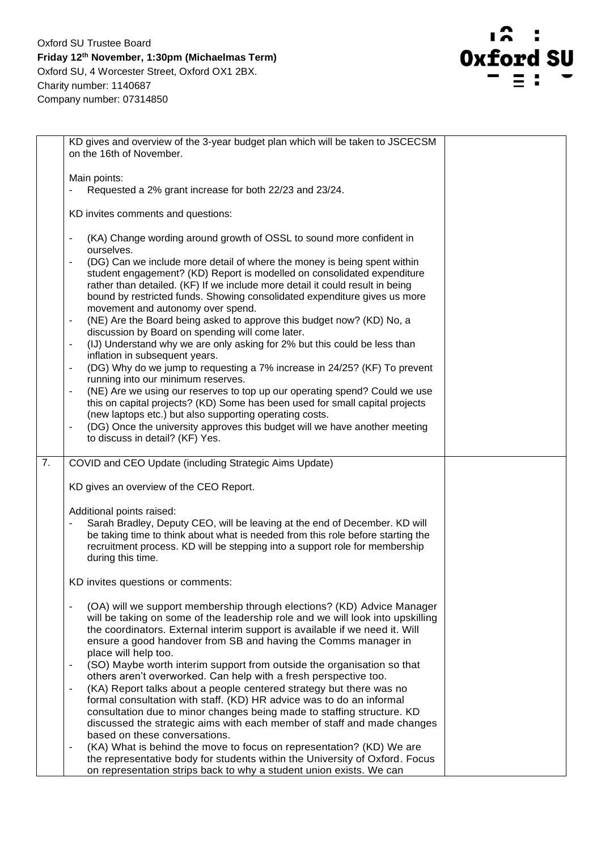

|                  | KD gives and overview of the 3-year budget plan which will be taken to JSCECSM<br>on the 16th of November.                                                                                                                                                                                                                                                                                                                                                                                                                                                                                                                                                                                                                                                                                                                                                                                                                                                                                  |  |
|------------------|---------------------------------------------------------------------------------------------------------------------------------------------------------------------------------------------------------------------------------------------------------------------------------------------------------------------------------------------------------------------------------------------------------------------------------------------------------------------------------------------------------------------------------------------------------------------------------------------------------------------------------------------------------------------------------------------------------------------------------------------------------------------------------------------------------------------------------------------------------------------------------------------------------------------------------------------------------------------------------------------|--|
|                  | Main points:                                                                                                                                                                                                                                                                                                                                                                                                                                                                                                                                                                                                                                                                                                                                                                                                                                                                                                                                                                                |  |
|                  | Requested a 2% grant increase for both 22/23 and 23/24.                                                                                                                                                                                                                                                                                                                                                                                                                                                                                                                                                                                                                                                                                                                                                                                                                                                                                                                                     |  |
|                  |                                                                                                                                                                                                                                                                                                                                                                                                                                                                                                                                                                                                                                                                                                                                                                                                                                                                                                                                                                                             |  |
|                  | KD invites comments and questions:                                                                                                                                                                                                                                                                                                                                                                                                                                                                                                                                                                                                                                                                                                                                                                                                                                                                                                                                                          |  |
|                  | (KA) Change wording around growth of OSSL to sound more confident in<br>$\blacksquare$<br>ourselves.<br>(DG) Can we include more detail of where the money is being spent within<br>student engagement? (KD) Report is modelled on consolidated expenditure<br>rather than detailed. (KF) If we include more detail it could result in being<br>bound by restricted funds. Showing consolidated expenditure gives us more<br>movement and autonomy over spend.<br>(NE) Are the Board being asked to approve this budget now? (KD) No, a<br>discussion by Board on spending will come later.<br>(IJ) Understand why we are only asking for 2% but this could be less than<br>inflation in subsequent years.<br>(DG) Why do we jump to requesting a 7% increase in 24/25? (KF) To prevent<br>running into our minimum reserves.<br>(NE) Are we using our reserves to top up our operating spend? Could we use<br>this on capital projects? (KD) Some has been used for small capital projects |  |
|                  | (new laptops etc.) but also supporting operating costs.<br>(DG) Once the university approves this budget will we have another meeting                                                                                                                                                                                                                                                                                                                                                                                                                                                                                                                                                                                                                                                                                                                                                                                                                                                       |  |
|                  | to discuss in detail? (KF) Yes.                                                                                                                                                                                                                                                                                                                                                                                                                                                                                                                                                                                                                                                                                                                                                                                                                                                                                                                                                             |  |
| $\overline{7}$ . | COVID and CEO Update (including Strategic Aims Update)                                                                                                                                                                                                                                                                                                                                                                                                                                                                                                                                                                                                                                                                                                                                                                                                                                                                                                                                      |  |
|                  | KD gives an overview of the CEO Report.                                                                                                                                                                                                                                                                                                                                                                                                                                                                                                                                                                                                                                                                                                                                                                                                                                                                                                                                                     |  |
|                  | Additional points raised:                                                                                                                                                                                                                                                                                                                                                                                                                                                                                                                                                                                                                                                                                                                                                                                                                                                                                                                                                                   |  |
|                  | Sarah Bradley, Deputy CEO, will be leaving at the end of December. KD will<br>be taking time to think about what is needed from this role before starting the<br>recruitment process. KD will be stepping into a support role for membership<br>during this time.                                                                                                                                                                                                                                                                                                                                                                                                                                                                                                                                                                                                                                                                                                                           |  |
|                  | KD invites questions or comments:                                                                                                                                                                                                                                                                                                                                                                                                                                                                                                                                                                                                                                                                                                                                                                                                                                                                                                                                                           |  |
|                  | (OA) will we support membership through elections? (KD) Advice Manager<br>will be taking on some of the leadership role and we will look into upskilling<br>the coordinators. External interim support is available if we need it. Will<br>ensure a good handover from SB and having the Comms manager in<br>place will help too.                                                                                                                                                                                                                                                                                                                                                                                                                                                                                                                                                                                                                                                           |  |
|                  | (SO) Maybe worth interim support from outside the organisation so that<br>others aren't overworked. Can help with a fresh perspective too.                                                                                                                                                                                                                                                                                                                                                                                                                                                                                                                                                                                                                                                                                                                                                                                                                                                  |  |
|                  | (KA) Report talks about a people centered strategy but there was no<br>formal consultation with staff. (KD) HR advice was to do an informal<br>consultation due to minor changes being made to staffing structure. KD<br>discussed the strategic aims with each member of staff and made changes<br>based on these conversations.                                                                                                                                                                                                                                                                                                                                                                                                                                                                                                                                                                                                                                                           |  |
|                  | (KA) What is behind the move to focus on representation? (KD) We are<br>$\overline{\phantom{a}}$<br>the representative body for students within the University of Oxford. Focus<br>on representation strips back to why a student union exists. We can                                                                                                                                                                                                                                                                                                                                                                                                                                                                                                                                                                                                                                                                                                                                      |  |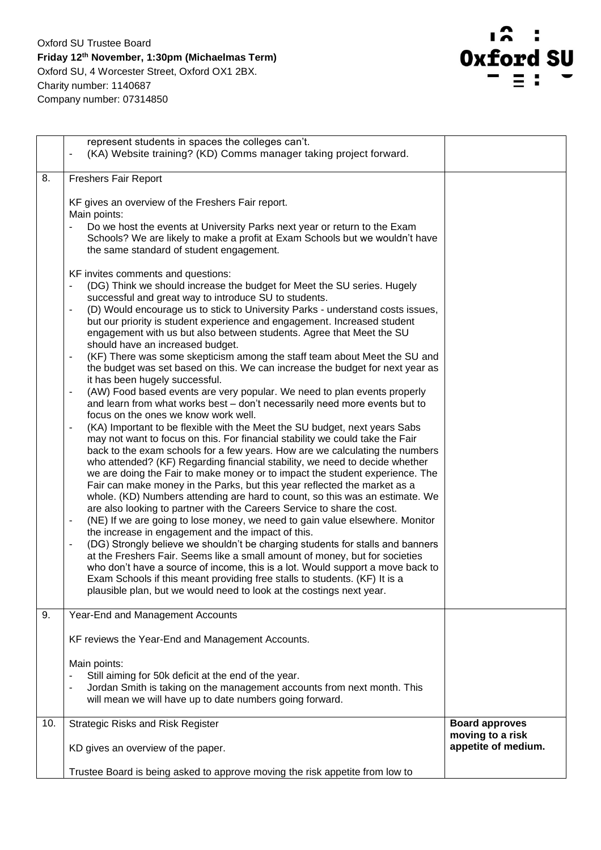

|     | represent students in spaces the colleges can't.<br>(KA) Website training? (KD) Comms manager taking project forward.                                                                                                                                                                                                                                                                                                                                                                                                                                                                                                                                                                                                                                                                                                                                                                                                                                                                                                                                                                                                                                                                                                                                                                                                                                                                                                                                                                                                                                                                                                                                                                                                                                                                                                                                                                                                                                                                                                                                                                                                                                                                                                                                                                                                                                  |                                           |
|-----|--------------------------------------------------------------------------------------------------------------------------------------------------------------------------------------------------------------------------------------------------------------------------------------------------------------------------------------------------------------------------------------------------------------------------------------------------------------------------------------------------------------------------------------------------------------------------------------------------------------------------------------------------------------------------------------------------------------------------------------------------------------------------------------------------------------------------------------------------------------------------------------------------------------------------------------------------------------------------------------------------------------------------------------------------------------------------------------------------------------------------------------------------------------------------------------------------------------------------------------------------------------------------------------------------------------------------------------------------------------------------------------------------------------------------------------------------------------------------------------------------------------------------------------------------------------------------------------------------------------------------------------------------------------------------------------------------------------------------------------------------------------------------------------------------------------------------------------------------------------------------------------------------------------------------------------------------------------------------------------------------------------------------------------------------------------------------------------------------------------------------------------------------------------------------------------------------------------------------------------------------------------------------------------------------------------------------------------------------------|-------------------------------------------|
| 8.  | <b>Freshers Fair Report</b>                                                                                                                                                                                                                                                                                                                                                                                                                                                                                                                                                                                                                                                                                                                                                                                                                                                                                                                                                                                                                                                                                                                                                                                                                                                                                                                                                                                                                                                                                                                                                                                                                                                                                                                                                                                                                                                                                                                                                                                                                                                                                                                                                                                                                                                                                                                            |                                           |
|     | KF gives an overview of the Freshers Fair report.<br>Main points:<br>Do we host the events at University Parks next year or return to the Exam<br>Schools? We are likely to make a profit at Exam Schools but we wouldn't have<br>the same standard of student engagement.<br>KF invites comments and questions:<br>(DG) Think we should increase the budget for Meet the SU series. Hugely<br>successful and great way to introduce SU to students.<br>(D) Would encourage us to stick to University Parks - understand costs issues,<br>$\overline{\phantom{a}}$<br>but our priority is student experience and engagement. Increased student<br>engagement with us but also between students. Agree that Meet the SU<br>should have an increased budget.<br>(KF) There was some skepticism among the staff team about Meet the SU and<br>$\overline{\phantom{a}}$<br>the budget was set based on this. We can increase the budget for next year as<br>it has been hugely successful.<br>(AW) Food based events are very popular. We need to plan events properly<br>and learn from what works best - don't necessarily need more events but to<br>focus on the ones we know work well.<br>(KA) Important to be flexible with the Meet the SU budget, next years Sabs<br>may not want to focus on this. For financial stability we could take the Fair<br>back to the exam schools for a few years. How are we calculating the numbers<br>who attended? (KF) Regarding financial stability, we need to decide whether<br>we are doing the Fair to make money or to impact the student experience. The<br>Fair can make money in the Parks, but this year reflected the market as a<br>whole. (KD) Numbers attending are hard to count, so this was an estimate. We<br>are also looking to partner with the Careers Service to share the cost.<br>(NE) If we are going to lose money, we need to gain value elsewhere. Monitor<br>$\overline{\phantom{a}}$<br>the increase in engagement and the impact of this.<br>(DG) Strongly believe we shouldn't be charging students for stalls and banners<br>٠<br>at the Freshers Fair. Seems like a small amount of money, but for societies<br>who don't have a source of income, this is a lot. Would support a move back to<br>Exam Schools if this meant providing free stalls to students. (KF) It is a |                                           |
|     | plausible plan, but we would need to look at the costings next year.                                                                                                                                                                                                                                                                                                                                                                                                                                                                                                                                                                                                                                                                                                                                                                                                                                                                                                                                                                                                                                                                                                                                                                                                                                                                                                                                                                                                                                                                                                                                                                                                                                                                                                                                                                                                                                                                                                                                                                                                                                                                                                                                                                                                                                                                                   |                                           |
| 9.  | Year-End and Management Accounts                                                                                                                                                                                                                                                                                                                                                                                                                                                                                                                                                                                                                                                                                                                                                                                                                                                                                                                                                                                                                                                                                                                                                                                                                                                                                                                                                                                                                                                                                                                                                                                                                                                                                                                                                                                                                                                                                                                                                                                                                                                                                                                                                                                                                                                                                                                       |                                           |
|     | KF reviews the Year-End and Management Accounts.                                                                                                                                                                                                                                                                                                                                                                                                                                                                                                                                                                                                                                                                                                                                                                                                                                                                                                                                                                                                                                                                                                                                                                                                                                                                                                                                                                                                                                                                                                                                                                                                                                                                                                                                                                                                                                                                                                                                                                                                                                                                                                                                                                                                                                                                                                       |                                           |
|     | Main points:<br>Still aiming for 50k deficit at the end of the year.                                                                                                                                                                                                                                                                                                                                                                                                                                                                                                                                                                                                                                                                                                                                                                                                                                                                                                                                                                                                                                                                                                                                                                                                                                                                                                                                                                                                                                                                                                                                                                                                                                                                                                                                                                                                                                                                                                                                                                                                                                                                                                                                                                                                                                                                                   |                                           |
|     | Jordan Smith is taking on the management accounts from next month. This<br>will mean we will have up to date numbers going forward.                                                                                                                                                                                                                                                                                                                                                                                                                                                                                                                                                                                                                                                                                                                                                                                                                                                                                                                                                                                                                                                                                                                                                                                                                                                                                                                                                                                                                                                                                                                                                                                                                                                                                                                                                                                                                                                                                                                                                                                                                                                                                                                                                                                                                    |                                           |
| 10. | <b>Strategic Risks and Risk Register</b>                                                                                                                                                                                                                                                                                                                                                                                                                                                                                                                                                                                                                                                                                                                                                                                                                                                                                                                                                                                                                                                                                                                                                                                                                                                                                                                                                                                                                                                                                                                                                                                                                                                                                                                                                                                                                                                                                                                                                                                                                                                                                                                                                                                                                                                                                                               | <b>Board approves</b><br>moving to a risk |
|     | KD gives an overview of the paper.                                                                                                                                                                                                                                                                                                                                                                                                                                                                                                                                                                                                                                                                                                                                                                                                                                                                                                                                                                                                                                                                                                                                                                                                                                                                                                                                                                                                                                                                                                                                                                                                                                                                                                                                                                                                                                                                                                                                                                                                                                                                                                                                                                                                                                                                                                                     | appetite of medium.                       |
|     | Trustee Board is being asked to approve moving the risk appetite from low to                                                                                                                                                                                                                                                                                                                                                                                                                                                                                                                                                                                                                                                                                                                                                                                                                                                                                                                                                                                                                                                                                                                                                                                                                                                                                                                                                                                                                                                                                                                                                                                                                                                                                                                                                                                                                                                                                                                                                                                                                                                                                                                                                                                                                                                                           |                                           |